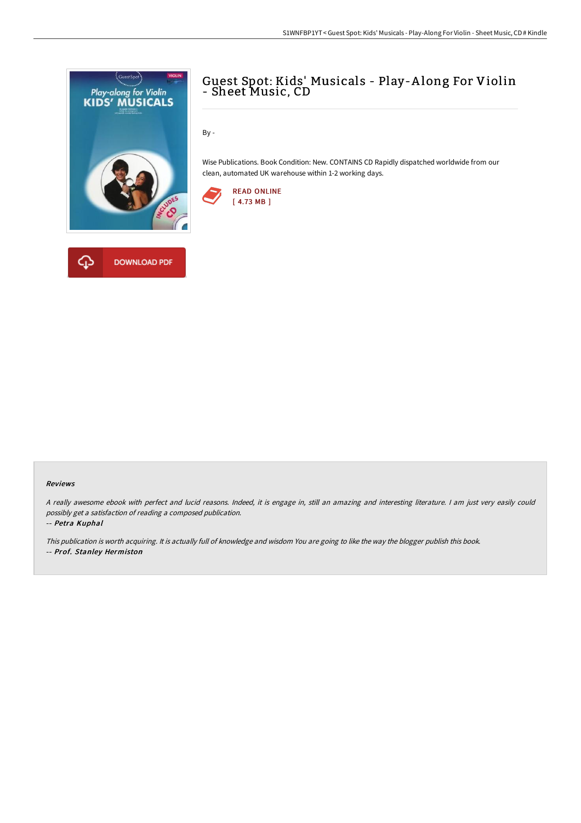

## Guest Spot: Kids' Musicals - Play-A long For Violin - Sheet Music, CD

By -

Wise Publications. Book Condition: New. CONTAINS CD Rapidly dispatched worldwide from our clean, automated UK warehouse within 1-2 working days.



## Reviews

<sup>A</sup> really awesome ebook with perfect and lucid reasons. Indeed, it is engage in, still an amazing and interesting literature. <sup>I</sup> am just very easily could possibly get <sup>a</sup> satisfaction of reading <sup>a</sup> composed publication.

-- Petra Kuphal

This publication is worth acquiring. It is actually full of knowledge and wisdom You are going to like the way the blogger publish this book. -- Prof. Stanley Hermiston